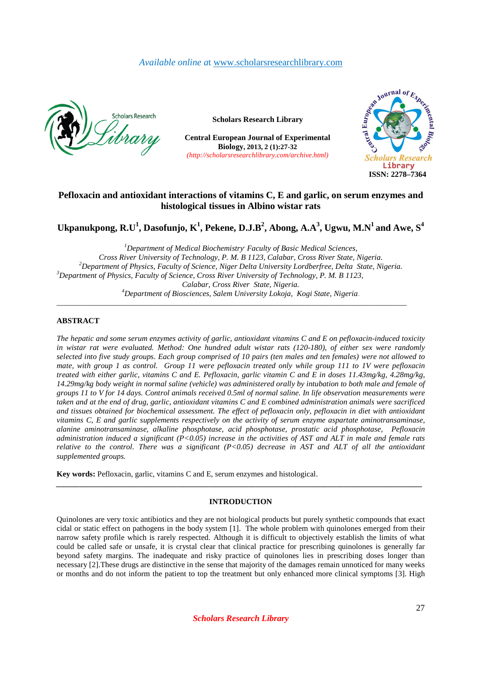# *Available online a*t www.scholarsresearchlibrary.com



**Scholars Research Library**

**Central European Journal of Experimental Biology, 2013, 2 (1):27-32**  *(http://scholarsresearchlibrary.com/archive.html)*



# **Pefloxacin and antioxidant interactions of vitamins C, E and garlic, on serum enzymes and histological tissues in Albino wistar rats**

 $\bf U$ kpanukpong,  $\bf R.\bf U^1$ ,  $\bf D$ asofunjo,  $\bf K^1$ ,  $\bf P$ ekene,  $\bf D.\bf J.\bf B^2$ ,  $\bf A$ bong,  $\bf A.\bf A^3$ ,  $\bf U$ gwu,  $\bf M.\bf N^1$  and  $\bf A$ we,  $\bf S^4$ 

*<sup>1</sup>Department of Medical Biochemistry, Faculty of Basic Medical Sciences, Cross River University of Technology, P. M. B 1123, Calabar, Cross River State, Nigeria. <sup>2</sup>Department of Physics, Faculty of Science, Niger Delta University Lordberfree, Delta State, Nigeria. <sup>3</sup>Department of Physics, Faculty of Science, Cross River University of Technology, P. M. B 1123, Calabar, Cross River State, Nigeria. <sup>4</sup>Department of Biosciences, Salem University Lokoja, Kogi State, Nigeria*. \_\_\_\_\_\_\_\_\_\_\_\_\_\_\_\_\_\_\_\_\_\_\_\_\_\_\_\_\_\_\_\_\_\_\_\_\_\_\_\_\_\_\_\_\_\_\_\_\_\_\_\_\_\_\_\_\_\_\_\_\_\_\_\_\_\_\_\_\_\_\_\_\_\_\_\_\_\_\_\_\_\_\_\_\_\_\_\_\_

## **ABSTRACT**

*The hepatic and some serum enzymes activity of garlic, antioxidant vitamins C and E on pefloxacin-induced toxicity in wistar rat were evaluated. Method: One hundred adult wistar rats (120-180), of either sex were randomly selected into five study groups. Each group comprised of 10 pairs (ten males and ten females) were not allowed to mate, with group 1 as control. Group 11 were pefloxacin treated only while group 111 to 1V were pefloxacin treated with either garlic, vitamins C and E. Pefloxacin, garlic vitamin C and E in doses 11.43mg/kg, 4.28mg/kg, 14.29mg/kg body weight in normal saline (vehicle) was administered orally by intubation to both male and female of groups 11 to V for 14 days. Control animals received 0.5ml of normal saline. In life observation measurements were taken and at the end of drug, garlic, antioxidant vitamins C and E combined administration animals were sacrificed and tissues obtained for biochemical assessment. The effect of pefloxacin only, pefloxacin in diet with antioxidant vitamins C, E and garlic supplements respectively on the activity of serum enzyme aspartate aminotransaminase, alanine aminotransaminase, alkaline phosphotase, acid phosphotase, prostatic acid phosphotase, Pefloxacin administration induced a significant (P<0.05) increase in the activities of AST and ALT in male and female rats relative to the control. There was a significant (P<0.05) decrease in AST and ALT of all the antioxidant supplemented groups.* 

**Key words:** Pefloxacin, garlic, vitamins C and E, serum enzymes and histological.

# **INTRODUCTION**

*\_\_\_\_\_\_\_\_\_\_\_\_\_\_\_\_\_\_\_\_\_\_\_\_\_\_\_\_\_\_\_\_\_\_\_\_\_\_\_\_\_\_\_\_\_\_\_\_\_\_\_\_\_\_\_\_\_\_\_\_\_\_\_\_\_\_\_\_\_\_\_\_\_\_\_\_\_\_\_\_\_\_\_\_\_\_\_\_\_\_\_\_\_* 

Quinolones are very toxic antibiotics and they are not biological products but purely synthetic compounds that exact cidal or static effect on pathogens in the body system [1]. The whole problem with quinolones emerged from their narrow safety profile which is rarely respected. Although it is difficult to objectively establish the limits of what could be called safe or unsafe, it is crystal clear that clinical practice for prescribing quinolones is generally far beyond safety margins. The inadequate and risky practice of quinolones lies in prescribing doses longer than necessary [2].These drugs are distinctive in the sense that majority of the damages remain unnoticed for many weeks or months and do not inform the patient to top the treatment but only enhanced more clinical symptoms [3]. High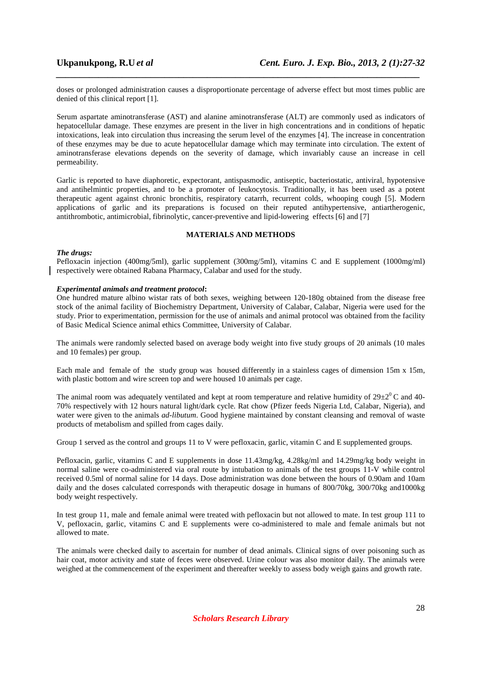doses or prolonged administration causes a disproportionate percentage of adverse effect but most times public are denied of this clinical report [1].

*\_\_\_\_\_\_\_\_\_\_\_\_\_\_\_\_\_\_\_\_\_\_\_\_\_\_\_\_\_\_\_\_\_\_\_\_\_\_\_\_\_\_\_\_\_\_\_\_\_\_\_\_\_\_\_\_\_\_\_\_\_\_\_\_\_\_\_\_\_\_\_\_\_\_\_\_\_*

Serum aspartate aminotransferase (AST) and alanine aminotransferase (ALT) are commonly used as indicators of hepatocellular damage. These enzymes are present in the liver in high concentrations and in conditions of hepatic intoxications, leak into circulation thus increasing the serum level of the enzymes [4]. The increase in concentration of these enzymes may be due to acute hepatocellular damage which may terminate into circulation. The extent of aminotransferase elevations depends on the severity of damage, which invariably cause an increase in cell permeability.

Garlic is reported to have diaphoretic, expectorant, antispasmodic, antiseptic, bacteriostatic, antiviral, hypotensive and antihelmintic properties, and to be a promoter of leukocytosis. Traditionally, it has been used as a potent therapeutic agent against chronic bronchitis, respiratory catarrh, recurrent colds, whooping cough [5]. Modern applications of garlic and its preparations is focused on their reputed antihypertensive, antiartherogenic, antithrombotic, antimicrobial, fibrinolytic, cancer-preventive and lipid-lowering effects [6] and [7]

# **MATERIALS AND METHODS**

### *The drugs:*

Pefloxacin injection (400mg/5ml), garlic supplement (300mg/5ml), vitamins C and E supplement (1000mg/ml) respectively were obtained Rabana Pharmacy, Calabar and used for the study.

### *Experimental animals and treatment protocol***:**

One hundred mature albino wistar rats of both sexes, weighing between 120-180g obtained from the disease free stock of the animal facility of Biochemistry Department, University of Calabar, Calabar, Nigeria were used for the study. Prior to experimentation, permission for the use of animals and animal protocol was obtained from the facility of Basic Medical Science animal ethics Committee, University of Calabar.

The animals were randomly selected based on average body weight into five study groups of 20 animals (10 males and 10 females) per group.

Each male and female of the study group was housed differently in a stainless cages of dimension 15m x 15m, with plastic bottom and wire screen top and were housed 10 animals per cage.

The animal room was adequately ventilated and kept at room temperature and relative humidity of  $29\pm2^0$ C and 40-70% respectively with 12 hours natural light/dark cycle. Rat chow (Pfizer feeds Nigeria Ltd, Calabar, Nigeria), and water were given to the animals *ad-libutum*. Good hygiene maintained by constant cleansing and removal of waste products of metabolism and spilled from cages daily.

Group 1 served as the control and groups 11 to V were pefloxacin, garlic, vitamin C and E supplemented groups.

Pefloxacin, garlic, vitamins C and E supplements in dose 11.43mg/kg, 4.28kg/ml and 14.29mg/kg body weight in normal saline were co-administered via oral route by intubation to animals of the test groups 11-V while control received 0.5ml of normal saline for 14 days. Dose administration was done between the hours of 0.90am and 10am daily and the doses calculated corresponds with therapeutic dosage in humans of 800/70kg, 300/70kg and1000kg body weight respectively.

In test group 11, male and female animal were treated with pefloxacin but not allowed to mate. In test group 111 to V, pefloxacin, garlic, vitamins C and E supplements were co-administered to male and female animals but not allowed to mate.

The animals were checked daily to ascertain for number of dead animals. Clinical signs of over poisoning such as hair coat, motor activity and state of feces were observed. Urine colour was also monitor daily. The animals were weighed at the commencement of the experiment and thereafter weekly to assess body weigh gains and growth rate.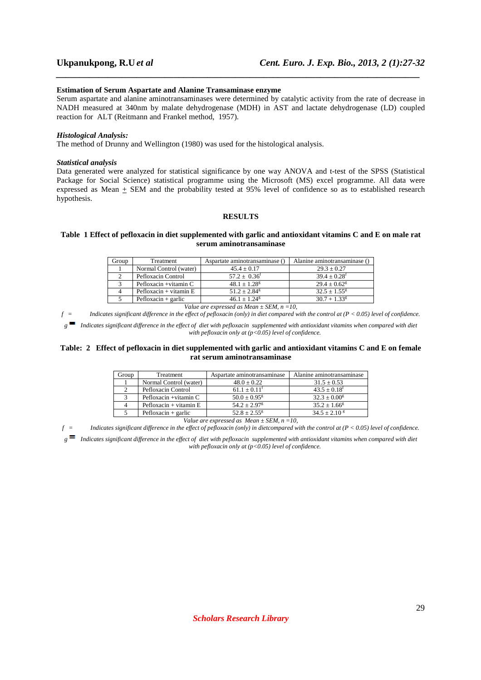#### **Estimation of Serum Aspartate and Alanine Transaminase enzyme**

Serum aspartate and alanine aminotransaminases were determined by catalytic activity from the rate of decrease in NADH measured at 340nm by malate dehydrogenase (MDH) in AST and lactate dehydrogenase (LD) coupled reaction for ALT (Reitmann and Frankel method, 1957).

*\_\_\_\_\_\_\_\_\_\_\_\_\_\_\_\_\_\_\_\_\_\_\_\_\_\_\_\_\_\_\_\_\_\_\_\_\_\_\_\_\_\_\_\_\_\_\_\_\_\_\_\_\_\_\_\_\_\_\_\_\_\_\_\_\_\_\_\_\_\_\_\_\_\_\_\_\_*

#### *Histological Analysis:*

The method of Drunny and Wellington (1980) was used for the histological analysis.

#### *Statistical analysis*

Data generated were analyzed for statistical significance by one way ANOVA and t-test of the SPSS (Statistical Package for Social Science) statistical programme using the Microsoft (MS) excel programme. All data were expressed as Mean  $\pm$  SEM and the probability tested at 95% level of confidence so as to established research hypothesis.

# **RESULTS**

### **Table 1 Effect of pefloxacin in diet supplemented with garlic and antioxidant vitamins C and E on male rat serum aminotransaminase**

| Group | Treatment                | Aspartate aminotransaminase () | Alanine aminotransaminase ( |
|-------|--------------------------|--------------------------------|-----------------------------|
|       | Normal Control (water)   | $45.4 \pm 0.17$                | $29.3 + 0.27$               |
|       | Pefloxacin Control       | $57.2 \pm 0.36^{\circ}$        | $39.4 + 0.28$ <sup>f</sup>  |
|       | Pefloxacin + vitamin C   | $48.1 + 1.28^g$                | $29.4 + 0.62$ <sup>g</sup>  |
|       | $Pefloxacin + vitamin E$ | $51.2 + 2.84$ <sup>g</sup>     | $32.5 + 1.55$ <sup>g</sup>  |
|       | $Pefloxacin + garlic$    | $46.1 + 1.24$ <sup>g</sup>     | $30.7 + 1.33$ <sup>g</sup>  |

*Value are expressed as Mean ± SEM, n =10,* 

*f = Indicates significant difference in the effect of pefloxacin (only) in diet compared with the control at (P < 0.05) level of confidence. g Indicates significant difference in the effect of diet with pefloxacin supplemented with antioxidant vitamins when compared with diet with pefloxacin only at (p<0.05) level of confidence.* 

### **Table: 2 Effect of pefloxacin in diet supplemented with garlic and antioxidant vitamins C and E on female rat serum aminotransaminase**

| Group | Treatment                | Aspartate aminotransaminase | Alanine aminotransaminase  |
|-------|--------------------------|-----------------------------|----------------------------|
|       | Normal Control (water)   | $48.0 \pm 0.22$             | $31.5 \pm 0.53$            |
|       | Pefloxacin Control       | $61.1 + 0.11$ <sup>t</sup>  | $43.5 + 0.18$ <sup>f</sup> |
|       | Pefloxacin $+$ vitamin C | $50.0 + 0.95$ <sup>g</sup>  | $32.3 \pm 0.00^8$          |
|       | $Pefloxacin + vitamin E$ | $54.2 + 2.97$ <sup>g</sup>  | $35.2 \pm 1.66^8$          |
|       | $Pefloxacin + garlic$    | $52.8 + 2.55^8$             | $34.5 \pm 2.10^8$          |

*Value are expressed as Mean ± SEM, n =10,* 

*f = Indicates significant difference in the effect of pefloxacin (only) in dietcompared with the control at (P < 0.05) level of confidence.* 

*g Indicates significant difference in the effect of diet with pefloxacin supplemented with antioxidant vitamins when compared with diet with pefloxacin only at (p<0.05) level of confidence.*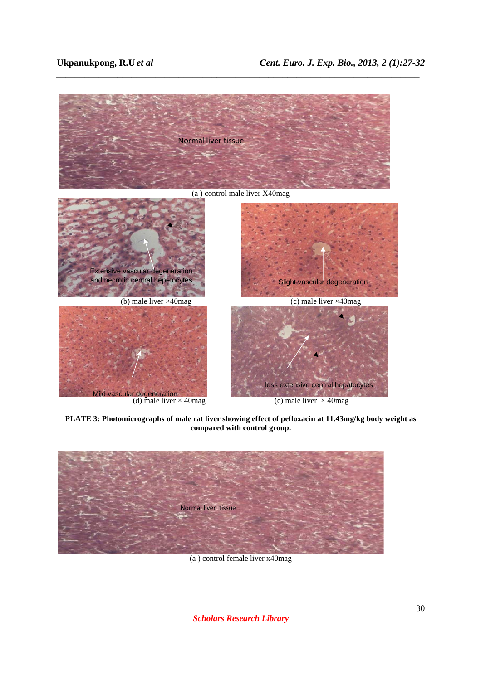

*\_\_\_\_\_\_\_\_\_\_\_\_\_\_\_\_\_\_\_\_\_\_\_\_\_\_\_\_\_\_\_\_\_\_\_\_\_\_\_\_\_\_\_\_\_\_\_\_\_\_\_\_\_\_\_\_\_\_\_\_\_\_\_\_\_\_\_\_\_\_\_\_\_\_\_\_\_*

**PLATE 3: Photomicrographs of male rat liver showing effect of pefloxacin at 11.43mg/kg body weight as compared with control group.** 



(a ) control female liver x40mag

*Scholars Research Library*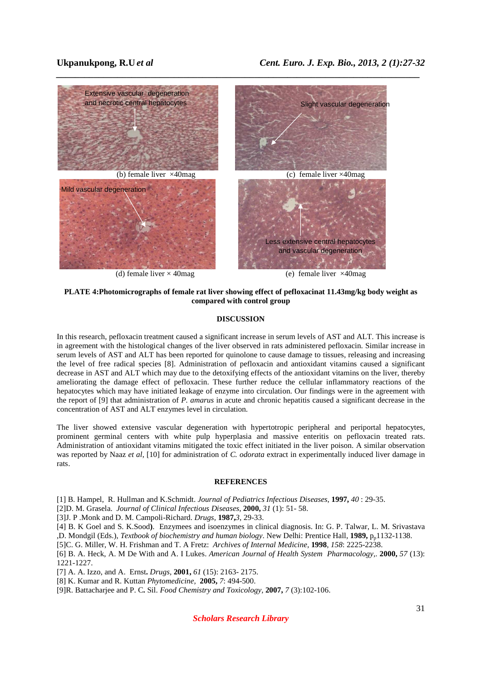

**PLATE 4:Photomicrographs of female rat liver showing effect of pefloxacinat 11.43mg/kg body weight as compared with control group** 

### **DISCUSSION**

In this research, pefloxacin treatment caused a significant increase in serum levels of AST and ALT. This increase is in agreement with the histological changes of the liver observed in rats administered pefloxacin. Similar increase in serum levels of AST and ALT has been reported for quinolone to cause damage to tissues, releasing and increasing the level of free radical species [8]. Administration of pefloxacin and antioxidant vitamins caused a significant decrease in AST and ALT which may due to the detoxifying effects of the antioxidant vitamins on the liver, thereby ameliorating the damage effect of pefloxacin. These further reduce the cellular inflammatory reactions of the hepatocytes which may have initiated leakage of enzyme into circulation. Our findings were in the agreement with the report of [9] that administration of *P. amarus* in acute and chronic hepatitis caused a significant decrease in the concentration of AST and ALT enzymes level in circulation.

The liver showed extensive vascular degeneration with hypertotropic peripheral and periportal hepatocytes, prominent germinal centers with white pulp hyperplasia and massive enteritis on pefloxacin treated rats. Administration of antioxidant vitamins mitigated the toxic effect initiated in the liver poison. A similar observation was reported by Naaz *et al*, [10] for administration of *C. odorata* extract in experimentally induced liver damage in rats.

### **REFERENCES**

[1] B. Hampel, R. Hullman and K.Schmidt. *Journal of Pediatrics Infectious Diseases*, **1997,** *40* : 29-35.

- [2]D. M. Grasela. *Journal of Clinical Infectious Diseases*, **2000,** *31* (1): 51- 58.
- [3]J. P .Monk and D. M. Campoli-Richard. *Drugs,* **1987,***3*, 29-33.

[4] B. K Goel and S. K.Sood**)**. Enzymees and isoenzymes in clinical diagnosis. In: G. P. Talwar, L. M. Srivastava ,D. Mondgil (Eds.), *Textbook of biochemistry and human biology*. New Delhi: Prentice Hall, **1989,** pp1132-1138.

[5]C. G. Miller, W. H. Frishman and T. A Fretz: *Archives of Internal Medicine*, **1998**, *158*: 2225-2238.

[6] B. A. Heck, A. M De With and A. I Lukes. *American Journal of Health System Pharmacology,*. **2000,** *57* (13): 1221-1227.

[7] A. A. Izzo, and A. Ernst**.** *Drugs,* **2001,** *61* (15): 2163- 2175.

[8] K. Kumar and R. Kuttan *Phytomedicine,* **2005,** *7*: 494-500.

[9]R. Battacharjee and P. C**.** Sil. *Food Chemistry and Toxicology,* **2007,** *7* (3):102-106.

*Scholars Research Library*